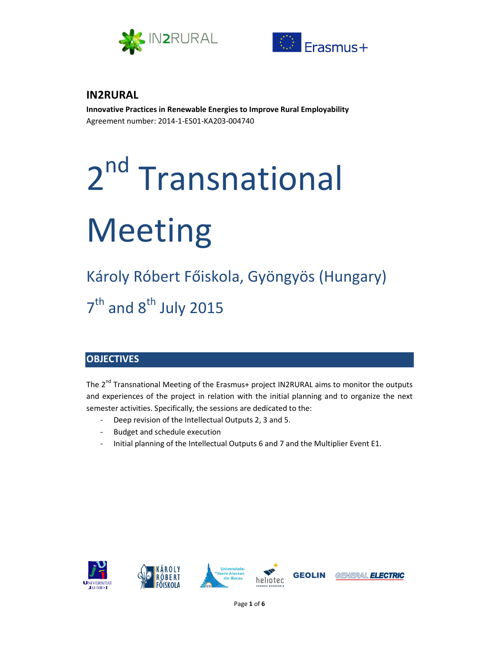



# **IN2RURAL**

**Innovative Practices in Renewable Energies to Improve Rural Employability**  Agreement number: 2014-1-ES01-KA203-004740

# 2<sup>nd</sup> Transnational Meeting

Károly Róbert Főiskola, Gyöngyös (Hungary) 7<sup>th</sup> and 8<sup>th</sup> July 2015

# **OBJECTIVES**

The 2<sup>nd</sup> Transnational Meeting of the Erasmus+ project IN2RURAL aims to monitor the outputs and experiences of the project in relation with the initial planning and to organize the next semester activities. Specifically, the sessions are dedicated to the:

- Deep revision of the Intellectual Outputs 2, 3 and 5.
- Budget and schedule execution
- Initial planning of the Intellectual Outputs 6 and 7 and the Multiplier Event E1.

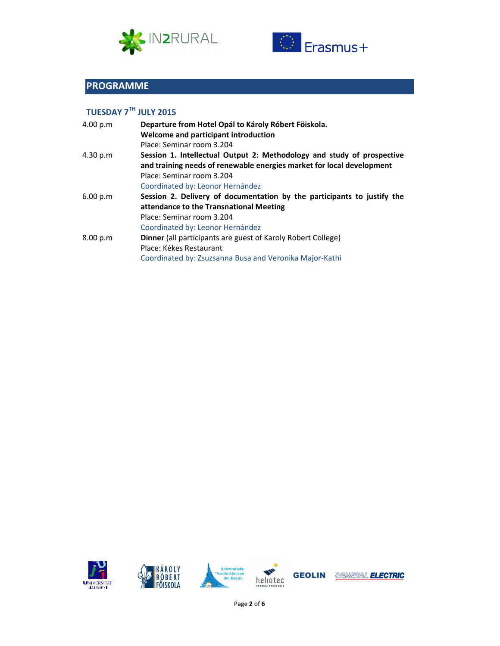



# **PROGRAMME**

# **TUESDAY 7TH JULY 2015**

| 4.00 p.m | Departure from Hotel Opál to Károly Róbert Föiskola.                    |
|----------|-------------------------------------------------------------------------|
|          | Welcome and participant introduction                                    |
|          | Place: Seminar room 3.204                                               |
| 4.30 p.m | Session 1. Intellectual Output 2: Methodology and study of prospective  |
|          | and training needs of renewable energies market for local development   |
|          | Place: Seminar room 3.204                                               |
|          | Coordinated by: Leonor Hernández                                        |
| 6.00 p.m | Session 2. Delivery of documentation by the participants to justify the |
|          | attendance to the Transnational Meeting                                 |
|          | Place: Seminar room 3.204                                               |
|          | Coordinated by: Leonor Hernández                                        |
| 8.00 p.m | Dinner (all participants are guest of Karoly Robert College)            |
|          | Place: Kékes Restaurant                                                 |
|          | Coordinated by: Zsuzsanna Busa and Veronika Major-Kathi                 |







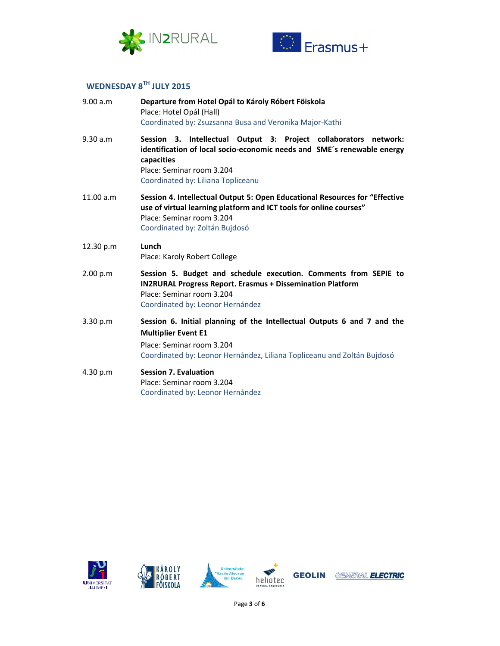



# **WEDNESDAY 8TH JULY 2015**

| 9.00 a.m  | Departure from Hotel Opál to Károly Róbert Föiskola<br>Place: Hotel Opál (Hall)<br>Coordinated by: Zsuzsanna Busa and Veronika Major-Kathi                                                                                   |
|-----------|------------------------------------------------------------------------------------------------------------------------------------------------------------------------------------------------------------------------------|
| 9.30 a.m  | Session 3. Intellectual Output 3: Project collaborators network:<br>identification of local socio-economic needs and SME's renewable energy<br>capacities<br>Place: Seminar room 3.204<br>Coordinated by: Liliana Topliceanu |
| 11.00 a.m | Session 4. Intellectual Output 5: Open Educational Resources for "Effective<br>use of virtual learning platform and ICT tools for online courses"<br>Place: Seminar room 3.204<br>Coordinated by: Zoltán Bujdosó             |
| 12.30 p.m | Lunch<br>Place: Karoly Robert College                                                                                                                                                                                        |
| 2.00 p.m  | Session 5. Budget and schedule execution. Comments from SEPIE to<br><b>IN2RURAL Progress Report. Erasmus + Dissemination Platform</b><br>Place: Seminar room 3.204<br>Coordinated by: Leonor Hernández                       |
| 3.30 p.m  | Session 6. Initial planning of the Intellectual Outputs 6 and 7 and the<br><b>Multiplier Event E1</b><br>Place: Seminar room 3.204<br>Coordinated by: Leonor Hernández, Liliana Topliceanu and Zoltán Bujdosó                |
| 4.30 p.m  | <b>Session 7. Evaluation</b><br>Place: Seminar room 3.204<br>Coordinated by: Leonor Hernández                                                                                                                                |



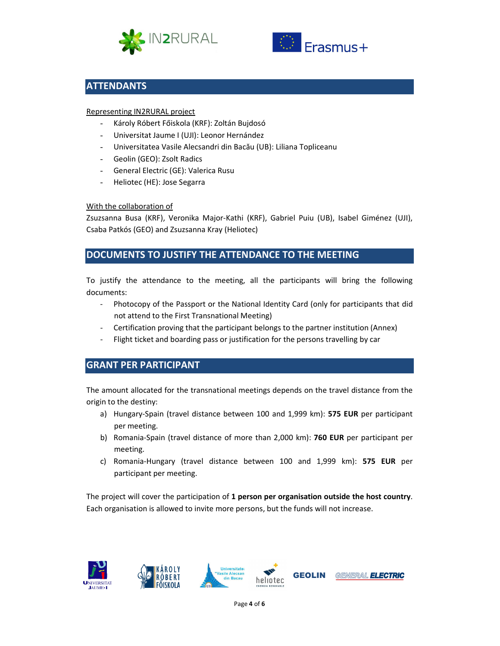



## **ATTENDANTS**

#### Representing IN2RURAL project

- Károly Róbert Főiskola (KRF): Zoltán Bujdosó
- Universitat Jaume I (UJI): Leonor Hernández
- Universitatea Vasile Alecsandri din Bacău (UB): Liliana Topliceanu
- Geolin (GEO): Zsolt Radics
- General Electric (GE): Valerica Rusu
- Heliotec (HE): Jose Segarra

#### With the collaboration of

Zsuzsanna Busa (KRF), Veronika Major-Kathi (KRF), Gabriel Puiu (UB), Isabel Giménez (UJI), Csaba Patkós (GEO) and Zsuzsanna Kray (Heliotec)

### **DOCUMENTS TO JUSTIFY THE ATTENDANCE TO THE MEETING**

To justify the attendance to the meeting, all the participants will bring the following documents:

- Photocopy of the Passport or the National Identity Card (only for participants that did not attend to the First Transnational Meeting)
- Certification proving that the participant belongs to the partner institution (Annex)
- Flight ticket and boarding pass or justification for the persons travelling by car

## **GRANT PER PARTICIPANT**

The amount allocated for the transnational meetings depends on the travel distance from the origin to the destiny:

- a) Hungary-Spain (travel distance between 100 and 1,999 km): **575 EUR** per participant per meeting.
- b) Romania-Spain (travel distance of more than 2,000 km): **760 EUR** per participant per meeting.
- c) Romania-Hungary (travel distance between 100 and 1,999 km): **575 EUR** per participant per meeting.

The project will cover the participation of **1 person per organisation outside the host country**. Each organisation is allowed to invite more persons, but the funds will not increase.

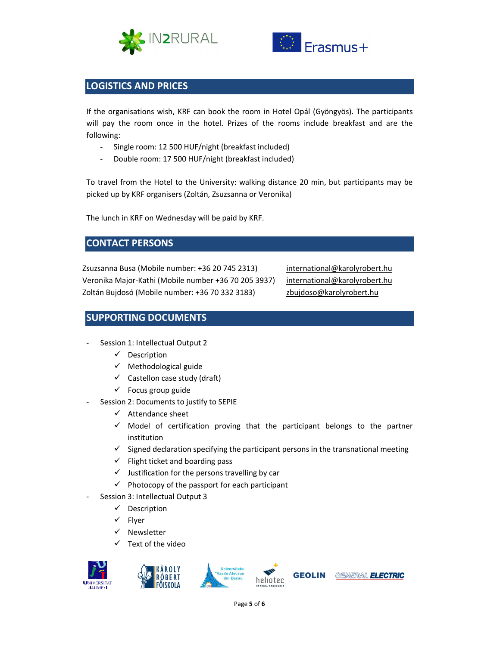



# **LOGISTICS AND PRICES**

If the organisations wish, KRF can book the room in Hotel Opál (Gyöngyös). The participants will pay the room once in the hotel. Prizes of the rooms include breakfast and are the following:

- Single room: 12 500 HUF/night (breakfast included)
- Double room: 17 500 HUF/night (breakfast included)

To travel from the Hotel to the University: walking distance 20 min, but participants may be picked up by KRF organisers (Zoltán, Zsuzsanna or Veronika)

The lunch in KRF on Wednesday will be paid by KRF.

## **CONTACT PERSONS**

Zsuzsanna Busa (Mobile number: +36 20 745 2313) Veronika Major-Kathi (Mobile number +36 70 205 3937) Zoltán Bujdosó (Mobile number: +36 70 332 3183)

international@karolyrobert.hu international@karolyrobert.hu zbujdoso@karolyrobert.hu

## **SUPPORTING DOCUMENTS**

- Session 1: Intellectual Output 2
	- $\checkmark$  Description
	- $\checkmark$  Methodological guide
	- $\checkmark$  Castellon case study (draft)
	- $\checkmark$  Focus group guide
	- Session 2: Documents to justify to SEPIE
		- $\checkmark$  Attendance sheet
		- $\checkmark$  Model of certification proving that the participant belongs to the partner institution
		- $\checkmark$  Signed declaration specifying the participant persons in the transnational meeting
		- $\checkmark$  Flight ticket and boarding pass
		- $\checkmark$  Justification for the persons travelling by car
		- $\checkmark$  Photocopy of the passport for each participant
	- Session 3: Intellectual Output 3
		- $\checkmark$  Description
		- $\checkmark$  Flyer
		- $\checkmark$  Newsletter
		- $\checkmark$  Text of the video



GEOLIN

GENERAL ELECTRIC